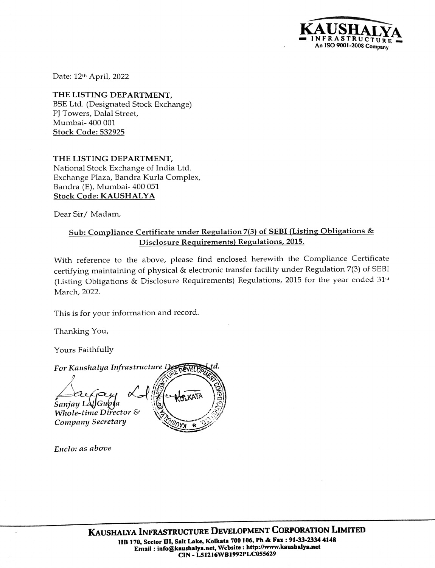

Date: 12th April, 2022

THE LISTING DEPARTMENT, BSE Ltd. (Designated Stock Exchange) PJ Towers, Dalal Street, Mumbai- 400 001 Stock Code: 532925

THE LISTING DEPARTMENT, National Stock Exchange of India Ltd. Exchange Plaza, Bandra Kurla Complex, Bandra (E), Mumbai- 400 051 Stock Code: KAUSHALYA

Dear Sir/ Madam,

## Sub: Compliance Certificate under Regulation 7(3) of SEBI(Listing Obligations & Disclosure Requirements) Regulations, 2015.

With reference to the above, please find enclosed herewith the Compliance Certificate certifying maintaining of physical & electronic transfer facility under Regulation 7(3) of SEBI (Listing Obligations & Disclosure Requirements) Regulations, 2015 for the year ended 31 March, 2022.

This is for your information and record.

Thanking You,

Yours Faithfully

## For Kaushalya Infrastructure Development

Sanjay Làl]Gup¶a Whole-time Director & Company Secretary

Enclo: as above